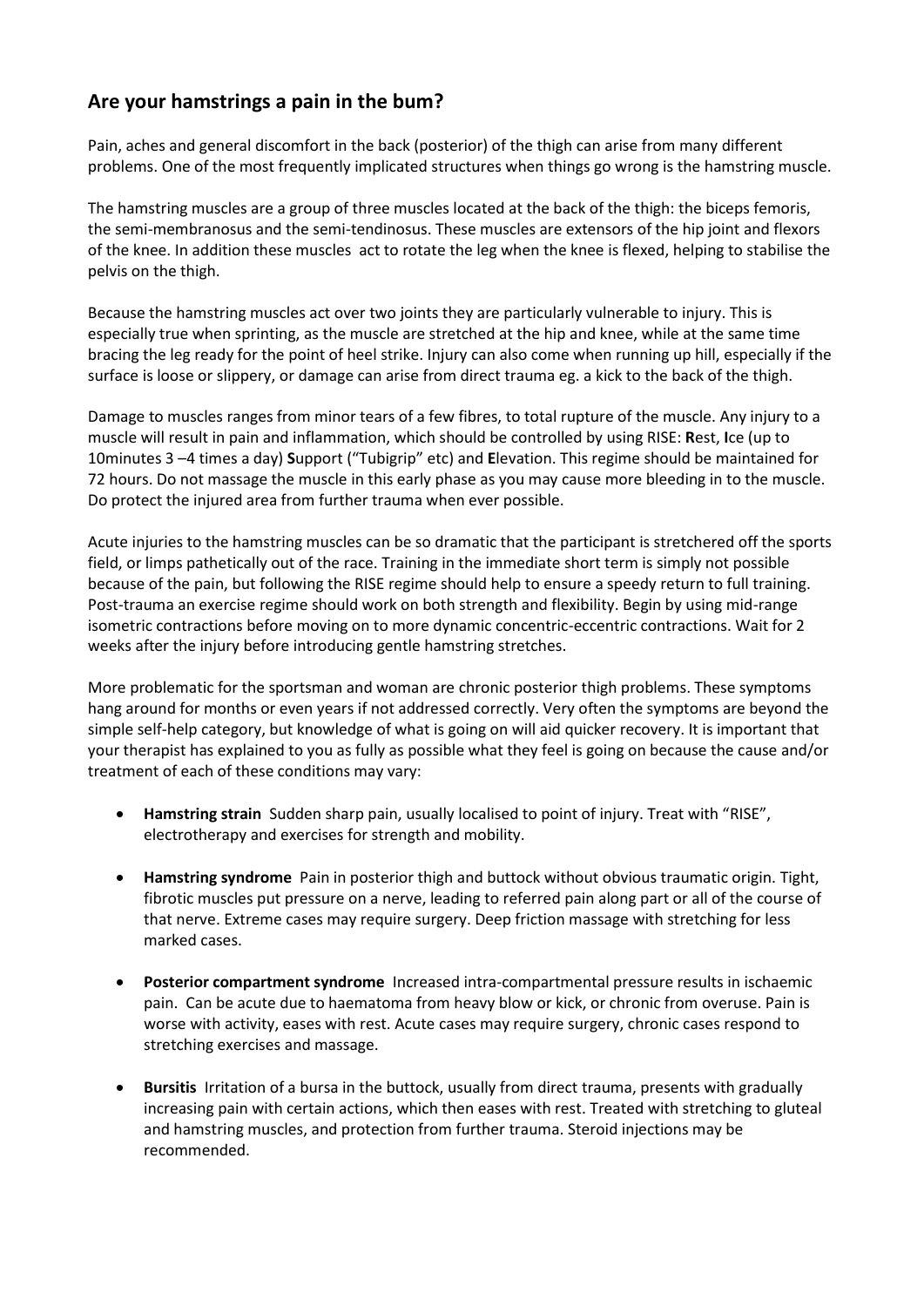## **Are your hamstrings a pain in the bum?**

Pain, aches and general discomfort in the back (posterior) of the thigh can arise from many different problems. One of the most frequently implicated structures when things go wrong is the hamstring muscle.

The hamstring muscles are a group of three muscles located at the back of the thigh: the biceps femoris, the semi-membranosus and the semi-tendinosus. These muscles are extensors of the hip joint and flexors of the knee. In addition these muscles act to rotate the leg when the knee is flexed, helping to stabilise the pelvis on the thigh.

Because the hamstring muscles act over two joints they are particularly vulnerable to injury. This is especially true when sprinting, as the muscle are stretched at the hip and knee, while at the same time bracing the leg ready for the point of heel strike. Injury can also come when running up hill, especially if the surface is loose or slippery, or damage can arise from direct trauma eg. a kick to the back of the thigh.

Damage to muscles ranges from minor tears of a few fibres, to total rupture of the muscle. Any injury to a muscle will result in pain and inflammation, which should be controlled by using RISE: **R**est, **I**ce (up to 10minutes 3 –4 times a day) **S**upport ("Tubigrip" etc) and **E**levation. This regime should be maintained for 72 hours. Do not massage the muscle in this early phase as you may cause more bleeding in to the muscle. Do protect the injured area from further trauma when ever possible.

Acute injuries to the hamstring muscles can be so dramatic that the participant is stretchered off the sports field, or limps pathetically out of the race. Training in the immediate short term is simply not possible because of the pain, but following the RISE regime should help to ensure a speedy return to full training. Post-trauma an exercise regime should work on both strength and flexibility. Begin by using mid-range isometric contractions before moving on to more dynamic concentric-eccentric contractions. Wait for 2 weeks after the injury before introducing gentle hamstring stretches.

More problematic for the sportsman and woman are chronic posterior thigh problems. These symptoms hang around for months or even years if not addressed correctly. Very often the symptoms are beyond the simple self-help category, but knowledge of what is going on will aid quicker recovery. It is important that your therapist has explained to you as fully as possible what they feel is going on because the cause and/or treatment of each of these conditions may vary:

- **Hamstring strain** Sudden sharp pain, usually localised to point of injury. Treat with "RISE", electrotherapy and exercises for strength and mobility.
- **Hamstring syndrome** Pain in posterior thigh and buttock without obvious traumatic origin. Tight, fibrotic muscles put pressure on a nerve, leading to referred pain along part or all of the course of that nerve. Extreme cases may require surgery. Deep friction massage with stretching for less marked cases.
- **Posterior compartment syndrome** Increased intra-compartmental pressure results in ischaemic pain. Can be acute due to haematoma from heavy blow or kick, or chronic from overuse. Pain is worse with activity, eases with rest. Acute cases may require surgery, chronic cases respond to stretching exercises and massage.
- **Bursitis** Irritation of a bursa in the buttock, usually from direct trauma, presents with gradually increasing pain with certain actions, which then eases with rest. Treated with stretching to gluteal and hamstring muscles, and protection from further trauma. Steroid injections may be recommended.